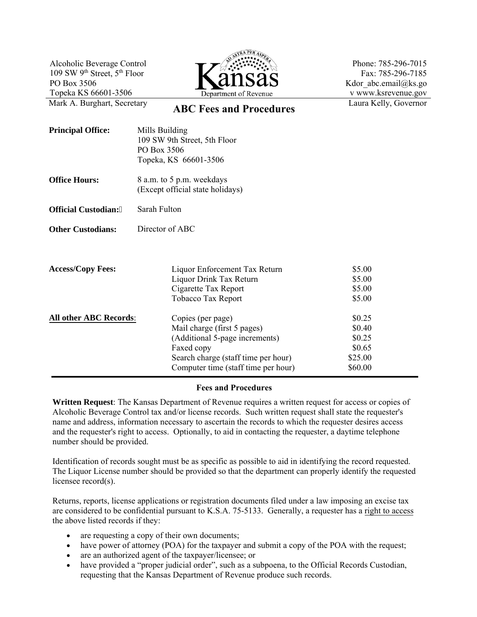Alcoholic Beverage Control 109 SW 9th Street, 5th Floor PO Box 3506 Topeka KS 66601-3506



Phone: 785-296-7015 Fax: 785-296-7185 Kdor\_abc.email@ks.go v www.ksrevenue.gov Laura Kelly, Governor

## Mark A. Burghart, Secretary<br>**ABC Fees and Procedures**

| <b>Principal Office:</b>      | Mills Building<br>109 SW 9th Street, 5th Floor<br>PO Box 3506<br>Topeka, KS 66601-3506                                                                                         |                                                            |
|-------------------------------|--------------------------------------------------------------------------------------------------------------------------------------------------------------------------------|------------------------------------------------------------|
| <b>Office Hours:</b>          | 8 a.m. to 5 p.m. weekdays<br>(Except official state holidays)                                                                                                                  |                                                            |
| <b>Official Custodian:"</b>   | Sarah Fulton                                                                                                                                                                   |                                                            |
| <b>Other Custodians:</b>      | Director of ABC                                                                                                                                                                |                                                            |
| <b>Access/Copy Fees:</b>      | Liquor Enforcement Tax Return<br>Liquor Drink Tax Return<br>Cigarette Tax Report<br>Tobacco Tax Report                                                                         | \$5.00<br>\$5.00<br>\$5.00<br>\$5.00                       |
| <b>All other ABC Records:</b> | Copies (per page)<br>Mail charge (first 5 pages)<br>(Additional 5-page increments)<br>Faxed copy<br>Search charge (staff time per hour)<br>Computer time (staff time per hour) | \$0.25<br>\$0.40<br>\$0.25<br>\$0.65<br>\$25.00<br>\$60.00 |

## **Fees and Procedures**

**Written Request**: The Kansas Department of Revenue requires a written request for access or copies of Alcoholic Beverage Control tax and/or license records. Such written request shall state the requester's name and address, information necessary to ascertain the records to which the requester desires access and the requester's right to access. Optionally, to aid in contacting the requester, a daytime telephone number should be provided.

Identification of records sought must be as specific as possible to aid in identifying the record requested. The Liquor License number should be provided so that the department can properly identify the requested licensee record(s).

Returns, reports, license applications or registration documents filed under a law imposing an excise tax are considered to be confidential pursuant to K.S.A. 75-5133. Generally, a requester has a right to access the above listed records if they:

- are requesting a copy of their own documents;
- have power of attorney (POA) for the taxpayer and submit a copy of the POA with the request;
- are an authorized agent of the taxpayer/licensee; or
- have provided a "proper judicial order", such as a subpoena, to the Official Records Custodian, requesting that the Kansas Department of Revenue produce such records.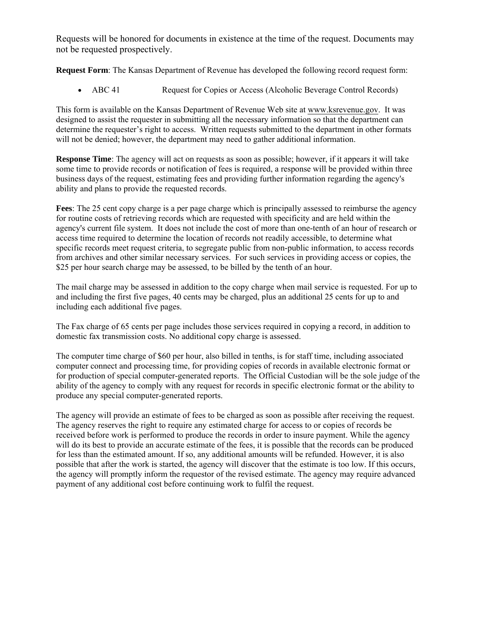Requests will be honored for documents in existence at the time of the request. Documents may not be requested prospectively.

**Request Form**: The Kansas Department of Revenue has developed the following record request form:

• ABC 41 Request for Copies or Access (Alcoholic Beverage Control Records)

This form is available on the Kansas Department of Revenue Web site at www.ksrevenue.gov. It was designed to assist the requester in submitting all the necessary information so that the department can determine the requester's right to access. Written requests submitted to the department in other formats will not be denied; however, the department may need to gather additional information.

**Response Time**: The agency will act on requests as soon as possible; however, if it appears it will take some time to provide records or notification of fees is required, a response will be provided within three business days of the request, estimating fees and providing further information regarding the agency's ability and plans to provide the requested records.

**Fees**: The 25 cent copy charge is a per page charge which is principally assessed to reimburse the agency for routine costs of retrieving records which are requested with specificity and are held within the agency's current file system. It does not include the cost of more than one-tenth of an hour of research or access time required to determine the location of records not readily accessible, to determine what specific records meet request criteria, to segregate public from non-public information, to access records from archives and other similar necessary services. For such services in providing access or copies, the \$25 per hour search charge may be assessed, to be billed by the tenth of an hour.

The mail charge may be assessed in addition to the copy charge when mail service is requested. For up to and including the first five pages, 40 cents may be charged, plus an additional 25 cents for up to and including each additional five pages.

The Fax charge of 65 cents per page includes those services required in copying a record, in addition to domestic fax transmission costs. No additional copy charge is assessed.

The computer time charge of \$60 per hour, also billed in tenths, is for staff time, including associated computer connect and processing time, for providing copies of records in available electronic format or for production of special computer-generated reports. The Official Custodian will be the sole judge of the ability of the agency to comply with any request for records in specific electronic format or the ability to produce any special computer-generated reports.

The agency will provide an estimate of fees to be charged as soon as possible after receiving the request. The agency reserves the right to require any estimated charge for access to or copies of records be received before work is performed to produce the records in order to insure payment. While the agency will do its best to provide an accurate estimate of the fees, it is possible that the records can be produced for less than the estimated amount. If so, any additional amounts will be refunded. However, it is also possible that after the work is started, the agency will discover that the estimate is too low. If this occurs, the agency will promptly inform the requestor of the revised estimate. The agency may require advanced payment of any additional cost before continuing work to fulfil the request.